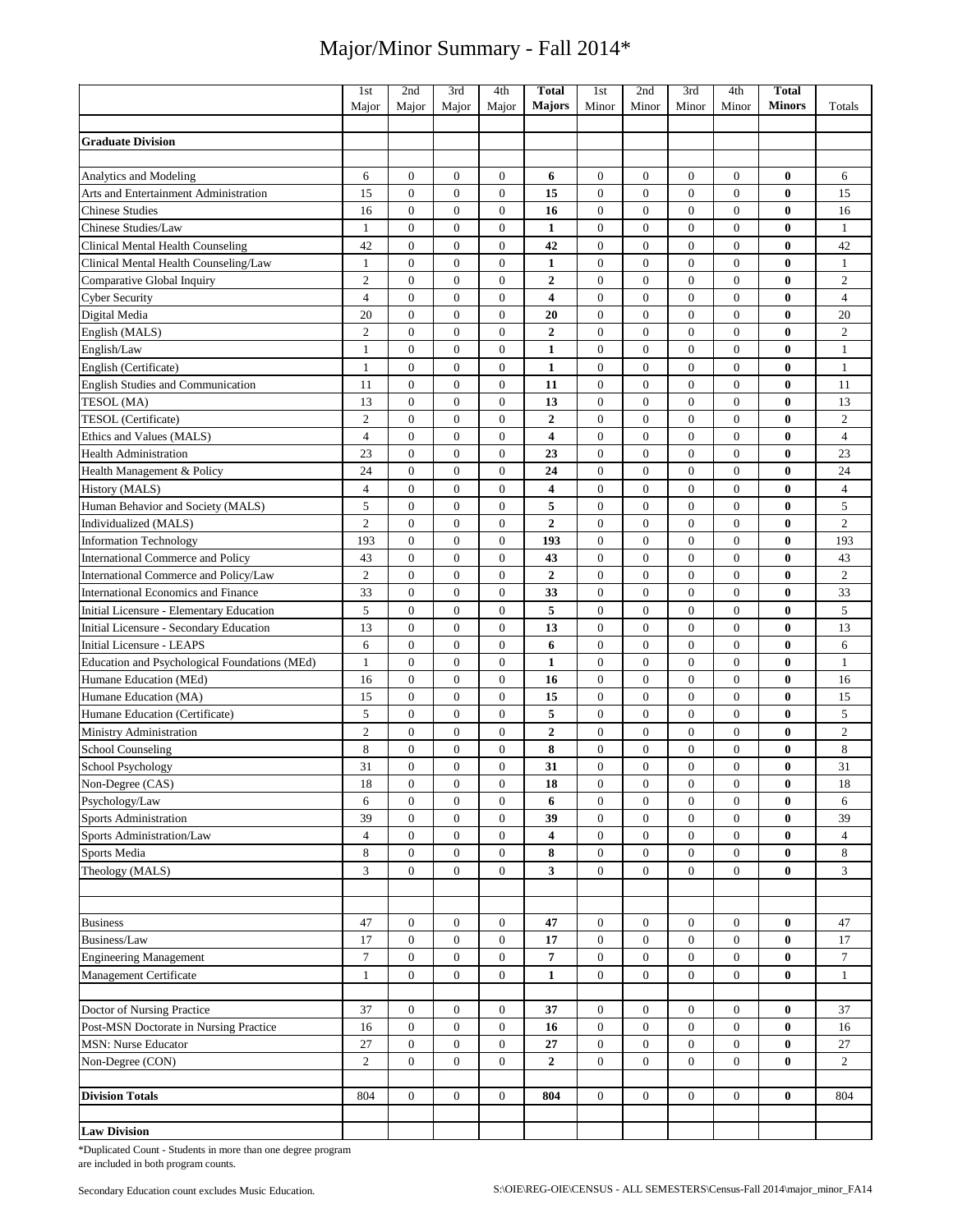|                                               | 1st            | 2nd              | 3rd              | 4th              | <b>Total</b>            | 1st              | 2nd              | 3rd              | 4th              | <b>Total</b>  |                |
|-----------------------------------------------|----------------|------------------|------------------|------------------|-------------------------|------------------|------------------|------------------|------------------|---------------|----------------|
|                                               | Major          | Major            | Major            | Major            | <b>Majors</b>           | Minor            | Minor            | Minor            | Minor            | <b>Minors</b> | Totals         |
|                                               |                |                  |                  |                  |                         |                  |                  |                  |                  |               |                |
| <b>Graduate Division</b>                      |                |                  |                  |                  |                         |                  |                  |                  |                  |               |                |
|                                               |                |                  |                  |                  |                         |                  |                  |                  |                  |               |                |
| Analytics and Modeling                        | 6              | $\boldsymbol{0}$ | $\boldsymbol{0}$ | $\boldsymbol{0}$ | 6                       | $\boldsymbol{0}$ | $\mathbf{0}$     | $\boldsymbol{0}$ | $\boldsymbol{0}$ | $\bf{0}$      | 6              |
| Arts and Entertainment Administration         | 15             | $\boldsymbol{0}$ | $\overline{0}$   | $\overline{0}$   | 15                      | $\mathbf{0}$     | $\overline{0}$   | $\overline{0}$   | $\overline{0}$   | $\bf{0}$      | 15             |
| <b>Chinese Studies</b>                        | 16             | $\mathbf{0}$     | $\mathbf{0}$     | $\mathbf{0}$     | 16                      | $\mathbf{0}$     | $\mathbf{0}$     | $\mathbf{0}$     | $\boldsymbol{0}$ | 0             | 16             |
| Chinese Studies/Law                           | $\mathbf{1}$   | $\boldsymbol{0}$ | $\boldsymbol{0}$ | $\boldsymbol{0}$ | $\mathbf{1}$            | $\boldsymbol{0}$ | $\boldsymbol{0}$ | $\boldsymbol{0}$ | $\boldsymbol{0}$ | $\bf{0}$      | $\mathbf{1}$   |
| <b>Clinical Mental Health Counseling</b>      | 42             | $\mathbf{0}$     | $\boldsymbol{0}$ | $\boldsymbol{0}$ | 42                      | $\mathbf{0}$     | $\mathbf{0}$     | $\mathbf{0}$     | $\boldsymbol{0}$ | $\bf{0}$      | 42             |
| Clinical Mental Health Counseling/Law         | 1              | $\boldsymbol{0}$ | $\mathbf{0}$     | $\boldsymbol{0}$ | $\mathbf{1}$            | $\mathbf{0}$     | $\mathbf{0}$     | $\mathbf{0}$     | $\boldsymbol{0}$ | $\bf{0}$      | $\mathbf{1}$   |
| Comparative Global Inquiry                    | $\mathfrak{2}$ | $\mathbf{0}$     | $\mathbf{0}$     | $\boldsymbol{0}$ | 2                       | $\mathbf{0}$     | $\mathbf{0}$     | $\mathbf{0}$     | $\boldsymbol{0}$ | 0             | $\sqrt{2}$     |
| Cyber Security                                | $\overline{4}$ | $\mathbf{0}$     | $\boldsymbol{0}$ | $\boldsymbol{0}$ | $\overline{\mathbf{4}}$ | $\mathbf{0}$     | $\mathbf{0}$     | $\mathbf{0}$     | $\boldsymbol{0}$ | $\bf{0}$      | $\overline{4}$ |
| Digital Media                                 | 20             | $\boldsymbol{0}$ | $\boldsymbol{0}$ | $\boldsymbol{0}$ | 20                      | $\mathbf{0}$     | $\boldsymbol{0}$ | $\mathbf{0}$     | $\boldsymbol{0}$ | $\bf{0}$      | 20             |
| English (MALS)                                | $\mathfrak{2}$ | $\mathbf{0}$     | $\mathbf{0}$     | $\mathbf{0}$     | $\boldsymbol{2}$        | $\mathbf{0}$     | $\mathbf{0}$     | $\mathbf{0}$     | $\overline{0}$   | $\bf{0}$      | $\mathbf{2}$   |
| English/Law                                   | $\mathbf{1}$   | $\boldsymbol{0}$ | $\boldsymbol{0}$ | $\boldsymbol{0}$ | $\mathbf{1}$            | $\boldsymbol{0}$ | $\boldsymbol{0}$ | $\mathbf{0}$     | $\boldsymbol{0}$ | 0             | $\mathbf{1}$   |
| English (Certificate)                         | $\mathbf{1}$   | $\boldsymbol{0}$ | $\boldsymbol{0}$ | $\boldsymbol{0}$ | $\mathbf{1}$            | $\boldsymbol{0}$ | $\mathbf{0}$     | $\boldsymbol{0}$ | $\boldsymbol{0}$ | $\bf{0}$      | $\mathbf{1}$   |
| <b>English Studies and Communication</b>      | 11             | $\mathbf{0}$     | $\mathbf{0}$     | $\mathbf{0}$     | 11                      | $\mathbf{0}$     | $\mathbf{0}$     | $\mathbf{0}$     | $\boldsymbol{0}$ | $\bf{0}$      | 11             |
| TESOL (MA)                                    | 13             | $\mathbf{0}$     | $\mathbf{0}$     | $\boldsymbol{0}$ | 13                      | $\mathbf{0}$     | $\mathbf{0}$     | $\mathbf{0}$     | $\boldsymbol{0}$ | 0             | 13             |
| TESOL (Certificate)                           | $\mathfrak{2}$ | $\mathbf{0}$     | $\boldsymbol{0}$ | $\mathbf{0}$     | $\overline{2}$          | $\mathbf{0}$     | $\mathbf{0}$     | $\mathbf{0}$     | $\boldsymbol{0}$ | $\bf{0}$      | $\overline{c}$ |
| Ethics and Values (MALS)                      | $\overline{4}$ | $\mathbf{0}$     | $\mathbf{0}$     | $\mathbf{0}$     | $\overline{\mathbf{4}}$ | $\mathbf{0}$     | $\mathbf{0}$     | $\mathbf{0}$     | $\mathbf{0}$     | $\bf{0}$      | $\overline{4}$ |
| <b>Health Administration</b>                  | 23             | $\mathbf{0}$     | $\mathbf{0}$     | $\boldsymbol{0}$ | 23                      | $\mathbf{0}$     | $\mathbf{0}$     | $\mathbf{0}$     | $\boldsymbol{0}$ | 0             | 23             |
| Health Management & Policy                    | 24             | $\boldsymbol{0}$ | $\boldsymbol{0}$ | $\boldsymbol{0}$ | 24                      | $\boldsymbol{0}$ | $\boldsymbol{0}$ | $\mathbf{0}$     | $\boldsymbol{0}$ | $\bf{0}$      | 24             |
| History (MALS)                                | $\overline{4}$ | $\mathbf{0}$     | $\boldsymbol{0}$ | $\boldsymbol{0}$ | 4                       | $\boldsymbol{0}$ | $\mathbf{0}$     | $\boldsymbol{0}$ | $\boldsymbol{0}$ | $\bf{0}$      | $\overline{4}$ |
| Human Behavior and Society (MALS)             | 5              | $\boldsymbol{0}$ | $\boldsymbol{0}$ | $\boldsymbol{0}$ | 5                       | $\mathbf{0}$     | $\mathbf{0}$     | $\mathbf{0}$     | $\boldsymbol{0}$ | $\bf{0}$      | 5              |
| Individualized (MALS)                         | $\overline{c}$ | $\mathbf{0}$     | $\mathbf{0}$     | $\boldsymbol{0}$ | $\overline{2}$          | $\mathbf{0}$     | $\mathbf{0}$     | $\mathbf{0}$     | $\mathbf{0}$     | $\bf{0}$      | $\overline{c}$ |
| <b>Information Technology</b>                 | 193            | $\boldsymbol{0}$ | $\boldsymbol{0}$ | $\boldsymbol{0}$ | 193                     | $\boldsymbol{0}$ | $\boldsymbol{0}$ | $\boldsymbol{0}$ | $\boldsymbol{0}$ | $\bf{0}$      | 193            |
| International Commerce and Policy             | 43             | $\mathbf{0}$     | $\mathbf{0}$     | $\mathbf{0}$     | 43                      | $\mathbf{0}$     | $\overline{0}$   | $\mathbf{0}$     | $\overline{0}$   | $\bf{0}$      | 43             |
| International Commerce and Policy/Law         | $\mathfrak{2}$ | $\mathbf{0}$     | $\boldsymbol{0}$ | $\boldsymbol{0}$ | $\mathbf{2}$            | $\mathbf{0}$     | $\mathbf{0}$     | $\overline{0}$   | $\boldsymbol{0}$ | 0             | $\overline{c}$ |
| International Economics and Finance           | 33             | $\boldsymbol{0}$ | $\overline{0}$   | $\boldsymbol{0}$ | 33                      | $\mathbf{0}$     | $\overline{0}$   | $\mathbf{0}$     | $\boldsymbol{0}$ | $\bf{0}$      | 33             |
| Initial Licensure - Elementary Education      | 5              | $\boldsymbol{0}$ | $\boldsymbol{0}$ | $\boldsymbol{0}$ | 5                       | $\boldsymbol{0}$ | $\mathbf{0}$     | $\boldsymbol{0}$ | $\boldsymbol{0}$ | $\bf{0}$      | 5              |
| Initial Licensure - Secondary Education       | 13             | $\boldsymbol{0}$ | $\boldsymbol{0}$ | $\boldsymbol{0}$ | 13                      | $\boldsymbol{0}$ | $\boldsymbol{0}$ | $\boldsymbol{0}$ | $\boldsymbol{0}$ | $\bf{0}$      | 13             |
| <b>Initial Licensure - LEAPS</b>              | 6              | $\boldsymbol{0}$ | $\mathbf{0}$     | $\boldsymbol{0}$ | 6                       | $\mathbf{0}$     | $\mathbf{0}$     | $\mathbf{0}$     | $\boldsymbol{0}$ | $\bf{0}$      | 6              |
| Education and Psychological Foundations (MEd) | $\mathbf{1}$   | $\boldsymbol{0}$ | $\boldsymbol{0}$ | $\boldsymbol{0}$ | $\mathbf{1}$            | $\mathbf{0}$     | $\boldsymbol{0}$ | $\mathbf{0}$     | $\boldsymbol{0}$ | 0             | $\mathbf{1}$   |
| Humane Education (MEd)                        | 16             | $\mathbf{0}$     | $\mathbf{0}$     | $\boldsymbol{0}$ | 16                      | $\mathbf{0}$     | $\mathbf{0}$     | $\mathbf{0}$     | $\boldsymbol{0}$ | 0             | 16             |
| Humane Education (MA)                         | 15             | $\mathbf{0}$     | $\mathbf{0}$     | $\mathbf{0}$     | 15                      | $\mathbf{0}$     | $\mathbf{0}$     | $\mathbf{0}$     | $\boldsymbol{0}$ | $\bf{0}$      | 15             |
| Humane Education (Certificate)                | 5              | $\mathbf{0}$     | $\mathbf{0}$     | $\boldsymbol{0}$ | 5                       | $\mathbf{0}$     | $\mathbf{0}$     | $\mathbf{0}$     | $\overline{0}$   | $\bf{0}$      | 5              |
| Ministry Administration                       | $\mathfrak{2}$ | $\boldsymbol{0}$ | $\boldsymbol{0}$ | $\boldsymbol{0}$ | 2                       | $\boldsymbol{0}$ | $\boldsymbol{0}$ | $\boldsymbol{0}$ | $\boldsymbol{0}$ | $\bf{0}$      | $\overline{c}$ |
| <b>School Counseling</b>                      | 8              | $\boldsymbol{0}$ | $\boldsymbol{0}$ | $\boldsymbol{0}$ | 8                       | $\mathbf{0}$     | $\boldsymbol{0}$ | $\boldsymbol{0}$ | $\boldsymbol{0}$ | $\bf{0}$      | $\,$ 8 $\,$    |
| School Psychology                             | 31             | $\mathbf{0}$     | $\mathbf{0}$     | $\mathbf{0}$     | 31                      | $\mathbf{0}$     | $\mathbf{0}$     | $\Omega$         | $\overline{0}$   | $\bf{0}$      | 31             |
| Non-Degree (CAS)                              | 18             | 0                | $\boldsymbol{0}$ | 0                | 18                      | $\boldsymbol{0}$ | $\boldsymbol{0}$ | 0                | $\boldsymbol{0}$ | 0             | 18             |
| Psychology/Law                                | 6              | $\overline{0}$   | $\boldsymbol{0}$ | $\mathbf{0}$     | 6                       | $\mathbf{0}$     | $\mathbf{0}$     | $\mathbf{0}$     | $\boldsymbol{0}$ | $\bf{0}$      | 6              |
| <b>Sports Administration</b>                  | 39             | $\boldsymbol{0}$ | $\boldsymbol{0}$ | $\mathbf{0}$     | 39                      | $\boldsymbol{0}$ | $\boldsymbol{0}$ | $\boldsymbol{0}$ | $\boldsymbol{0}$ | $\bf{0}$      | 39             |
| Sports Administration/Law                     | $\overline{4}$ | $\boldsymbol{0}$ | $\boldsymbol{0}$ | $\mathbf{0}$     | 4                       | $\boldsymbol{0}$ | $\boldsymbol{0}$ | $\boldsymbol{0}$ | $\boldsymbol{0}$ | $\bf{0}$      | $\overline{4}$ |
| Sports Media                                  | 8              | $\mathbf{0}$     | $\boldsymbol{0}$ | $\boldsymbol{0}$ | 8                       | $\boldsymbol{0}$ | $\boldsymbol{0}$ | $\boldsymbol{0}$ | $\boldsymbol{0}$ | $\bf{0}$      | 8              |
| Theology (MALS)                               | 3              | $\overline{0}$   | $\boldsymbol{0}$ | $\mathbf{0}$     | 3                       | $\overline{0}$   | $\mathbf{0}$     | $\boldsymbol{0}$ | $\mathbf{0}$     | $\bf{0}$      | 3              |
|                                               |                |                  |                  |                  |                         |                  |                  |                  |                  |               |                |
|                                               |                |                  |                  |                  |                         |                  |                  |                  |                  |               |                |
| <b>Business</b>                               | 47             | $\boldsymbol{0}$ | $\boldsymbol{0}$ | $\overline{0}$   | 47                      | $\boldsymbol{0}$ | $\boldsymbol{0}$ | $\boldsymbol{0}$ | $\boldsymbol{0}$ | $\bf{0}$      | 47             |
| Business/Law                                  | 17             | $\boldsymbol{0}$ | $\boldsymbol{0}$ | $\boldsymbol{0}$ | 17                      | $\boldsymbol{0}$ | $\boldsymbol{0}$ | $\mathbf{0}$     | $\boldsymbol{0}$ | $\bf{0}$      | 17             |
| <b>Engineering Management</b>                 | $\tau$         | $\boldsymbol{0}$ | $\boldsymbol{0}$ | $\boldsymbol{0}$ | 7                       | $\boldsymbol{0}$ | $\boldsymbol{0}$ | $\boldsymbol{0}$ | $\boldsymbol{0}$ | $\bf{0}$      | $\tau$         |
| Management Certificate                        | $\mathbf{1}$   | $\mathbf{0}$     | $\boldsymbol{0}$ | $\mathbf{0}$     | $\mathbf{1}$            | $\boldsymbol{0}$ | $\boldsymbol{0}$ | $\mathbf{0}$     | $\boldsymbol{0}$ | $\bf{0}$      | $\mathbf{1}$   |
|                                               |                |                  |                  |                  |                         |                  |                  |                  |                  |               |                |
| Doctor of Nursing Practice                    | 37             | 0                | $\bf{0}$         | 0                | 37                      | $\mathbf{0}$     | $\boldsymbol{0}$ | 0                | $\boldsymbol{0}$ | $\bf{0}$      | 37             |
| Post-MSN Doctorate in Nursing Practice        | 16             | $\boldsymbol{0}$ | $\boldsymbol{0}$ | $\boldsymbol{0}$ | 16                      | $\boldsymbol{0}$ | $\mathbf{0}$     | $\boldsymbol{0}$ | $\boldsymbol{0}$ | $\bf{0}$      | 16             |
| <b>MSN: Nurse Educator</b>                    | $27\,$         | $\boldsymbol{0}$ | $\boldsymbol{0}$ | $\boldsymbol{0}$ | 27                      | $\mathbf{0}$     | $\boldsymbol{0}$ | $\boldsymbol{0}$ | $\boldsymbol{0}$ | $\bf{0}$      | 27             |
| Non-Degree (CON)                              | $\overline{c}$ | $\boldsymbol{0}$ | $\overline{0}$   | $\boldsymbol{0}$ | $\overline{2}$          | $\mathbf{0}$     | $\overline{0}$   | $\overline{0}$   | $\overline{0}$   | $\bf{0}$      | $\overline{c}$ |
|                                               |                |                  |                  |                  |                         |                  |                  |                  |                  |               |                |
| <b>Division Totals</b>                        | 804            | $\boldsymbol{0}$ | $\boldsymbol{0}$ | $\overline{0}$   | 804                     | $\boldsymbol{0}$ | $\boldsymbol{0}$ | 0                | $\boldsymbol{0}$ | $\bf{0}$      | 804            |
|                                               |                |                  |                  |                  |                         |                  |                  |                  |                  |               |                |
| <b>Law Division</b>                           |                |                  |                  |                  |                         |                  |                  |                  |                  |               |                |

\*Duplicated Count - Students in more than one degree program are included in both program counts.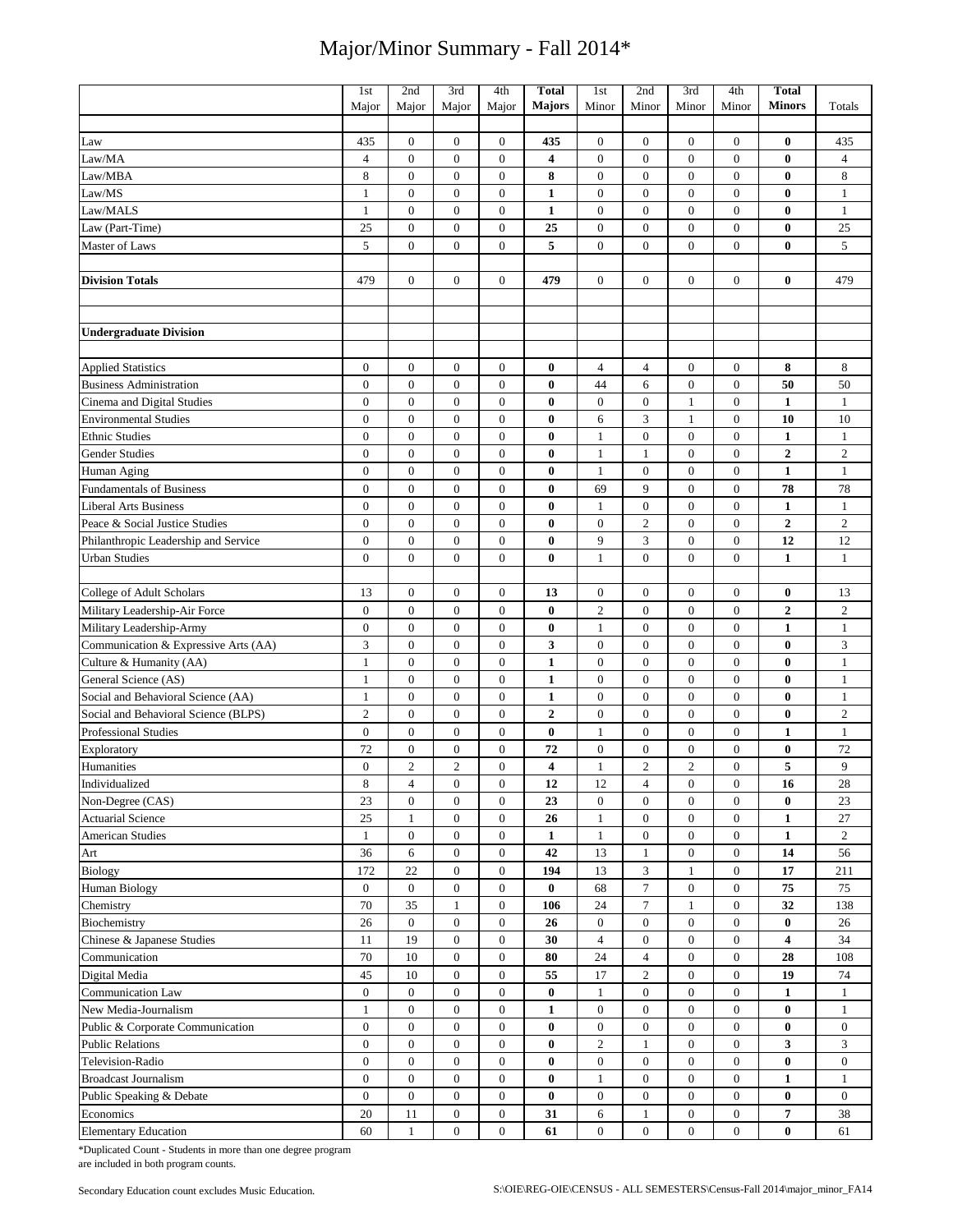|                                      | 1st              | 2nd              | 3rd              | 4th              | <b>Total</b>     | 1st              | 2nd              | 3rd              | 4th              | <b>Total</b>            |                  |
|--------------------------------------|------------------|------------------|------------------|------------------|------------------|------------------|------------------|------------------|------------------|-------------------------|------------------|
|                                      | Major            | Major            | Major            | Major            | <b>Majors</b>    | Minor            | Minor            | Minor            | Minor            | <b>Minors</b>           | Totals           |
|                                      |                  |                  |                  |                  |                  |                  |                  |                  |                  |                         |                  |
| Law                                  | 435              | $\mathbf{0}$     | $\mathbf{0}$     | $\mathbf{0}$     | 435              | $\boldsymbol{0}$ | $\boldsymbol{0}$ | $\boldsymbol{0}$ | $\boldsymbol{0}$ | $\bf{0}$                | 435              |
| Law/MA                               | $\overline{4}$   | $\mathbf{0}$     | $\mathbf{0}$     | $\overline{0}$   | 4                | $\overline{0}$   | $\mathbf{0}$     | $\mathbf{0}$     | $\boldsymbol{0}$ | $\bf{0}$                | $\overline{4}$   |
| Law/MBA                              | 8                | $\mathbf{0}$     | $\boldsymbol{0}$ | $\overline{0}$   | 8                | $\boldsymbol{0}$ | $\boldsymbol{0}$ | $\boldsymbol{0}$ | $\boldsymbol{0}$ | $\bf{0}$                | 8                |
| Law/MS                               | $\mathbf{1}$     | $\mathbf{0}$     | $\mathbf{0}$     | $\overline{0}$   | $\mathbf{1}$     | $\boldsymbol{0}$ | $\mathbf{0}$     | $\mathbf{0}$     | $\mathbf{0}$     | $\bf{0}$                | $\mathbf{1}$     |
| Law/MALS                             | $\mathbf{1}$     | $\boldsymbol{0}$ | $\boldsymbol{0}$ | $\mathbf{0}$     | $\mathbf{1}$     | $\boldsymbol{0}$ | $\boldsymbol{0}$ | $\boldsymbol{0}$ | $\boldsymbol{0}$ | $\bf{0}$                | $\mathbf{1}$     |
| Law (Part-Time)                      | 25               | $\overline{0}$   | $\mathbf{0}$     | $\boldsymbol{0}$ | 25               | $\boldsymbol{0}$ | $\boldsymbol{0}$ | $\mathbf{0}$     | $\boldsymbol{0}$ | $\bf{0}$                | 25               |
| Master of Laws                       | 5                | $\mathbf{0}$     | $\mathbf{0}$     | $\overline{0}$   | 5                | $\boldsymbol{0}$ | $\mathbf{0}$     | $\mathbf{0}$     | $\overline{0}$   | $\bf{0}$                | 5                |
|                                      |                  |                  |                  |                  |                  |                  |                  |                  |                  |                         |                  |
| <b>Division Totals</b>               | 479              | $\boldsymbol{0}$ | $\mathbf{0}$     | $\overline{0}$   | 479              | $\overline{0}$   | $\mathbf{0}$     | $\mathbf{0}$     | $\overline{0}$   | $\bf{0}$                | 479              |
|                                      |                  |                  |                  |                  |                  |                  |                  |                  |                  |                         |                  |
|                                      |                  |                  |                  |                  |                  |                  |                  |                  |                  |                         |                  |
| <b>Undergraduate Division</b>        |                  |                  |                  |                  |                  |                  |                  |                  |                  |                         |                  |
|                                      |                  |                  |                  |                  |                  |                  |                  |                  |                  |                         |                  |
| <b>Applied Statistics</b>            | $\boldsymbol{0}$ | $\boldsymbol{0}$ | $\boldsymbol{0}$ | $\mathbf{0}$     | $\bf{0}$         | $\overline{4}$   | 4                | $\boldsymbol{0}$ | $\boldsymbol{0}$ | 8                       | 8                |
| <b>Business Administration</b>       | $\mathbf{0}$     | $\mathbf{0}$     | $\mathbf{0}$     | $\overline{0}$   | $\bf{0}$         | 44               | 6                | $\boldsymbol{0}$ | $\mathbf{0}$     | 50                      | 50               |
| Cinema and Digital Studies           | $\boldsymbol{0}$ | $\boldsymbol{0}$ | $\boldsymbol{0}$ | $\boldsymbol{0}$ | $\boldsymbol{0}$ | $\boldsymbol{0}$ | $\boldsymbol{0}$ | $\mathbf{1}$     | $\boldsymbol{0}$ | $\mathbf{1}$            | 1                |
| <b>Environmental Studies</b>         | $\overline{0}$   | $\mathbf{0}$     | $\overline{0}$   | $\overline{0}$   | $\bf{0}$         | 6                | 3                | $\mathbf{1}$     | $\overline{0}$   | 10                      | 10               |
| <b>Ethnic Studies</b>                | $\boldsymbol{0}$ | $\mathbf{0}$     | $\mathbf{0}$     | $\overline{0}$   | $\bf{0}$         | $\mathbf{1}$     | $\boldsymbol{0}$ | $\mathbf{0}$     | $\boldsymbol{0}$ | $\mathbf{1}$            | $\mathbf{1}$     |
| <b>Gender Studies</b>                | $\boldsymbol{0}$ | $\boldsymbol{0}$ | $\boldsymbol{0}$ | $\overline{0}$   | $\bf{0}$         | $\mathbf{1}$     | $\mathbf{1}$     | $\boldsymbol{0}$ | $\boldsymbol{0}$ | $\overline{2}$          | $\overline{2}$   |
| Human Aging                          | $\boldsymbol{0}$ | $\boldsymbol{0}$ | $\boldsymbol{0}$ | $\boldsymbol{0}$ | 0                | $\mathbf{1}$     | $\boldsymbol{0}$ | $\mathbf{0}$     | $\boldsymbol{0}$ | $\mathbf{1}$            | $\mathbf{1}$     |
| <b>Fundamentals of Business</b>      | $\boldsymbol{0}$ | $\boldsymbol{0}$ | $\boldsymbol{0}$ | $\mathbf{0}$     | $\bf{0}$         | 69               | 9                | $\boldsymbol{0}$ | $\boldsymbol{0}$ | 78                      | 78               |
| <b>Liberal Arts Business</b>         | $\boldsymbol{0}$ | $\mathbf{0}$     | $\mathbf{0}$     | $\overline{0}$   | $\bf{0}$         | $\mathbf{1}$     | $\boldsymbol{0}$ | $\boldsymbol{0}$ | $\boldsymbol{0}$ | $\mathbf{1}$            | $\mathbf{1}$     |
| Peace & Social Justice Studies       | $\boldsymbol{0}$ | $\mathbf{0}$     | $\boldsymbol{0}$ | $\boldsymbol{0}$ | $\bf{0}$         | $\boldsymbol{0}$ | $\overline{c}$   | $\boldsymbol{0}$ | $\boldsymbol{0}$ | $\overline{2}$          | $\overline{2}$   |
| Philanthropic Leadership and Service | $\mathbf{0}$     | $\mathbf{0}$     | $\mathbf{0}$     | $\overline{0}$   | $\bf{0}$         | 9                | 3                | $\overline{0}$   | $\mathbf{0}$     | 12                      | 12               |
| <b>Urban Studies</b>                 | 0                | $\mathbf{0}$     | $\mathbf{0}$     | $\overline{0}$   | $\bf{0}$         | $\mathbf{1}$     | $\overline{0}$   | $\mathbf{0}$     | $\mathbf{0}$     | 1                       | $\mathbf{1}$     |
|                                      |                  |                  |                  |                  |                  |                  |                  |                  |                  |                         |                  |
| College of Adult Scholars            | 13               | $\boldsymbol{0}$ | $\boldsymbol{0}$ | $\boldsymbol{0}$ | 13               | $\boldsymbol{0}$ | $\boldsymbol{0}$ | $\boldsymbol{0}$ | $\boldsymbol{0}$ | $\bf{0}$                | 13               |
| Military Leadership-Air Force        | $\boldsymbol{0}$ | $\boldsymbol{0}$ | $\boldsymbol{0}$ | $\mathbf{0}$     | $\bf{0}$         | $\overline{c}$   | $\boldsymbol{0}$ | $\boldsymbol{0}$ | $\boldsymbol{0}$ | $\boldsymbol{2}$        | $\sqrt{2}$       |
| Military Leadership-Army             | $\boldsymbol{0}$ | $\mathbf{0}$     | $\mathbf{0}$     | $\overline{0}$   | $\boldsymbol{0}$ | $\mathbf{1}$     | $\overline{0}$   | $\boldsymbol{0}$ | $\mathbf{0}$     | $\mathbf{1}$            | $\mathbf{1}$     |
| Communication & Expressive Arts (AA) | 3                | $\boldsymbol{0}$ | $\boldsymbol{0}$ | $\overline{0}$   | 3                | $\boldsymbol{0}$ | $\boldsymbol{0}$ | $\boldsymbol{0}$ | $\boldsymbol{0}$ | $\bf{0}$                | 3                |
| Culture & Humanity (AA)              | $\mathbf{1}$     | $\mathbf{0}$     | $\mathbf{0}$     | $\overline{0}$   | $\mathbf{1}$     | $\boldsymbol{0}$ | $\boldsymbol{0}$ | $\mathbf{0}$     | $\boldsymbol{0}$ | $\bf{0}$                | $\mathbf{1}$     |
| General Science (AS)                 | $\mathbf{1}$     | $\mathbf{0}$     | $\overline{0}$   | $\overline{0}$   | $\mathbf{1}$     | $\boldsymbol{0}$ | $\overline{0}$   | $\mathbf{0}$     | $\overline{0}$   | $\bf{0}$                | $\mathbf{1}$     |
| Social and Behavioral Science (AA)   | $\mathbf{1}$     | $\mathbf{0}$     | $\overline{0}$   | $\overline{0}$   | $\mathbf{1}$     | $\boldsymbol{0}$ | $\mathbf{0}$     | $\mathbf{0}$     | $\overline{0}$   | $\bf{0}$                | $\mathbf{1}$     |
| Social and Behavioral Science (BLPS) | $\overline{c}$   | $\boldsymbol{0}$ | $\boldsymbol{0}$ | $\boldsymbol{0}$ | $\boldsymbol{2}$ | $\boldsymbol{0}$ | $\boldsymbol{0}$ | $\boldsymbol{0}$ | $\boldsymbol{0}$ | $\bf{0}$                | $\overline{2}$   |
| <b>Professional Studies</b>          | $\boldsymbol{0}$ | $\boldsymbol{0}$ | $\mathbf{0}$     | $\boldsymbol{0}$ | $\bf{0}$         | $\mathbf{1}$     | $\boldsymbol{0}$ | $\boldsymbol{0}$ | $\boldsymbol{0}$ | $\mathbf{1}$            | $\mathbf{1}$     |
| Exploratory                          | 72               | $\boldsymbol{0}$ | $\boldsymbol{0}$ | $\mathbf{0}$     | 72               | $\boldsymbol{0}$ | $\boldsymbol{0}$ | $\boldsymbol{0}$ | $\boldsymbol{0}$ | $\bf{0}$                | 72               |
| Humanities                           | $\boldsymbol{0}$ | $\overline{c}$   | $\overline{2}$   | $\mathbf{0}$     | 4                | $\mathbf{1}$     | $\overline{c}$   | $\overline{c}$   | $\boldsymbol{0}$ | 5                       | 9                |
| Individualized                       | $\,$ 8 $\,$      | $\overline{4}$   | $\boldsymbol{0}$ | $\boldsymbol{0}$ | 12               | $12\,$           | $\overline{4}$   | $\boldsymbol{0}$ | $\boldsymbol{0}$ | 16                      | $28\,$           |
| Non-Degree (CAS)                     | 23               | $\overline{0}$   | $\mathbf{0}$     | $\mathbf{0}$     | 23               | $\boldsymbol{0}$ | $\boldsymbol{0}$ | $\boldsymbol{0}$ | $\boldsymbol{0}$ | $\bf{0}$                | 23               |
| <b>Actuarial Science</b>             | 25               | $\mathbf{1}$     | $\boldsymbol{0}$ | $\boldsymbol{0}$ | 26               | $\mathbf{1}$     | $\boldsymbol{0}$ | $\boldsymbol{0}$ | $\boldsymbol{0}$ | $\mathbf{1}$            | 27               |
| <b>American Studies</b>              | $\mathbf{1}$     | $\mathbf{0}$     | $\boldsymbol{0}$ | $\boldsymbol{0}$ | $\mathbf{1}$     | $\mathbf{1}$     | $\boldsymbol{0}$ | $\boldsymbol{0}$ | $\boldsymbol{0}$ | $\mathbf{1}$            | $\overline{2}$   |
| Art                                  | 36               | 6                | $\boldsymbol{0}$ | $\mathbf{0}$     | 42               | 13               | $\mathbf{1}$     | $\boldsymbol{0}$ | $\overline{0}$   | 14                      | 56               |
| <b>Biology</b>                       | 172              | 22               | $\boldsymbol{0}$ | $\boldsymbol{0}$ | 194              | 13               | 3                | 1                | $\mathbf{0}$     | 17                      | 211              |
| <b>Human Biology</b>                 | $\boldsymbol{0}$ | $\mathbf{0}$     | $\boldsymbol{0}$ | $\mathbf{0}$     | $\bf{0}$         | 68               | $\tau$           | $\boldsymbol{0}$ | $\mathbf{0}$     | 75                      | 75               |
| Chemistry                            | 70               | 35               | $\mathbf{1}$     | $\boldsymbol{0}$ | 106              | 24               | $\tau$           | 1                | 0                | 32                      | 138              |
| Biochemistry                         | 26               | $\mathbf{0}$     | $\boldsymbol{0}$ | $\boldsymbol{0}$ | 26               | $\boldsymbol{0}$ | $\boldsymbol{0}$ | $\boldsymbol{0}$ | $\boldsymbol{0}$ | $\bf{0}$                | 26               |
| Chinese & Japanese Studies           | 11               | 19               | $\boldsymbol{0}$ | $\boldsymbol{0}$ | 30               | $\overline{4}$   | $\boldsymbol{0}$ | $\boldsymbol{0}$ | $\boldsymbol{0}$ | $\overline{\mathbf{4}}$ | 34               |
| Communication                        | $70\,$           | 10               | $\boldsymbol{0}$ | $\boldsymbol{0}$ | 80               | 24               | $\overline{4}$   | $\boldsymbol{0}$ | $\boldsymbol{0}$ | 28                      | 108              |
| Digital Media                        | 45               | 10               | $\mathbf{0}$     | $\overline{0}$   | 55               | 17               | $\overline{c}$   | $\boldsymbol{0}$ | $\boldsymbol{0}$ | 19                      | 74               |
| Communication Law                    | $\boldsymbol{0}$ | $\boldsymbol{0}$ | $\boldsymbol{0}$ | $\boldsymbol{0}$ | 0                | $\mathbf{1}$     | $\boldsymbol{0}$ | $\boldsymbol{0}$ | $\mathbf{0}$     | 1                       | 1                |
| New Media-Journalism                 | $\mathbf{1}$     | $\mathbf{0}$     | $\boldsymbol{0}$ | $\boldsymbol{0}$ | $\mathbf{1}$     | $\boldsymbol{0}$ | $\boldsymbol{0}$ | $\boldsymbol{0}$ | $\mathbf{0}$     | $\bf{0}$                | 1                |
| Public & Corporate Communication     | $\mathbf{0}$     | $\mathbf{0}$     | $\boldsymbol{0}$ | $\boldsymbol{0}$ | $\bf{0}$         | $\boldsymbol{0}$ | $\boldsymbol{0}$ | $\boldsymbol{0}$ | $\boldsymbol{0}$ | $\bf{0}$                | $\boldsymbol{0}$ |
| <b>Public Relations</b>              | $\boldsymbol{0}$ | $\mathbf{0}$     | $\boldsymbol{0}$ | $\boldsymbol{0}$ | $\bf{0}$         | $\overline{c}$   | $\mathbf{1}$     | $\boldsymbol{0}$ | 0                | 3                       | 3                |
| Television-Radio                     | $\mathbf{0}$     | $\overline{0}$   | $\boldsymbol{0}$ | $\boldsymbol{0}$ | $\bf{0}$         | $\boldsymbol{0}$ | $\boldsymbol{0}$ | $\boldsymbol{0}$ | $\boldsymbol{0}$ | $\bf{0}$                | $\boldsymbol{0}$ |
| <b>Broadcast Journalism</b>          | $\mathbf{0}$     | $\mathbf{0}$     | $\boldsymbol{0}$ | $\boldsymbol{0}$ | $\bf{0}$         | 1                | $\boldsymbol{0}$ | $\boldsymbol{0}$ | 0                | $\mathbf{1}$            | $\mathbf{1}$     |
| Public Speaking & Debate             | $\mathbf{0}$     | $\mathbf{0}$     | $\mathbf{0}$     | $\overline{0}$   | $\bf{0}$         | $\boldsymbol{0}$ | $\boldsymbol{0}$ | $\boldsymbol{0}$ | $\boldsymbol{0}$ | $\bf{0}$                | $\overline{0}$   |
| Economics                            | 20               | 11               | $\mathbf{0}$     | $\overline{0}$   | 31               | 6                | $\mathbf{1}$     | $\boldsymbol{0}$ | $\overline{0}$   | 7                       | 38               |
| <b>Elementary Education</b>          | 60               | $\mathbf{1}$     | $\boldsymbol{0}$ | $\overline{0}$   | 61               | $\boldsymbol{0}$ | $\boldsymbol{0}$ | $\boldsymbol{0}$ | 0                | $\bf{0}$                | 61               |

\*Duplicated Count - Students in more than one degree program are included in both program counts.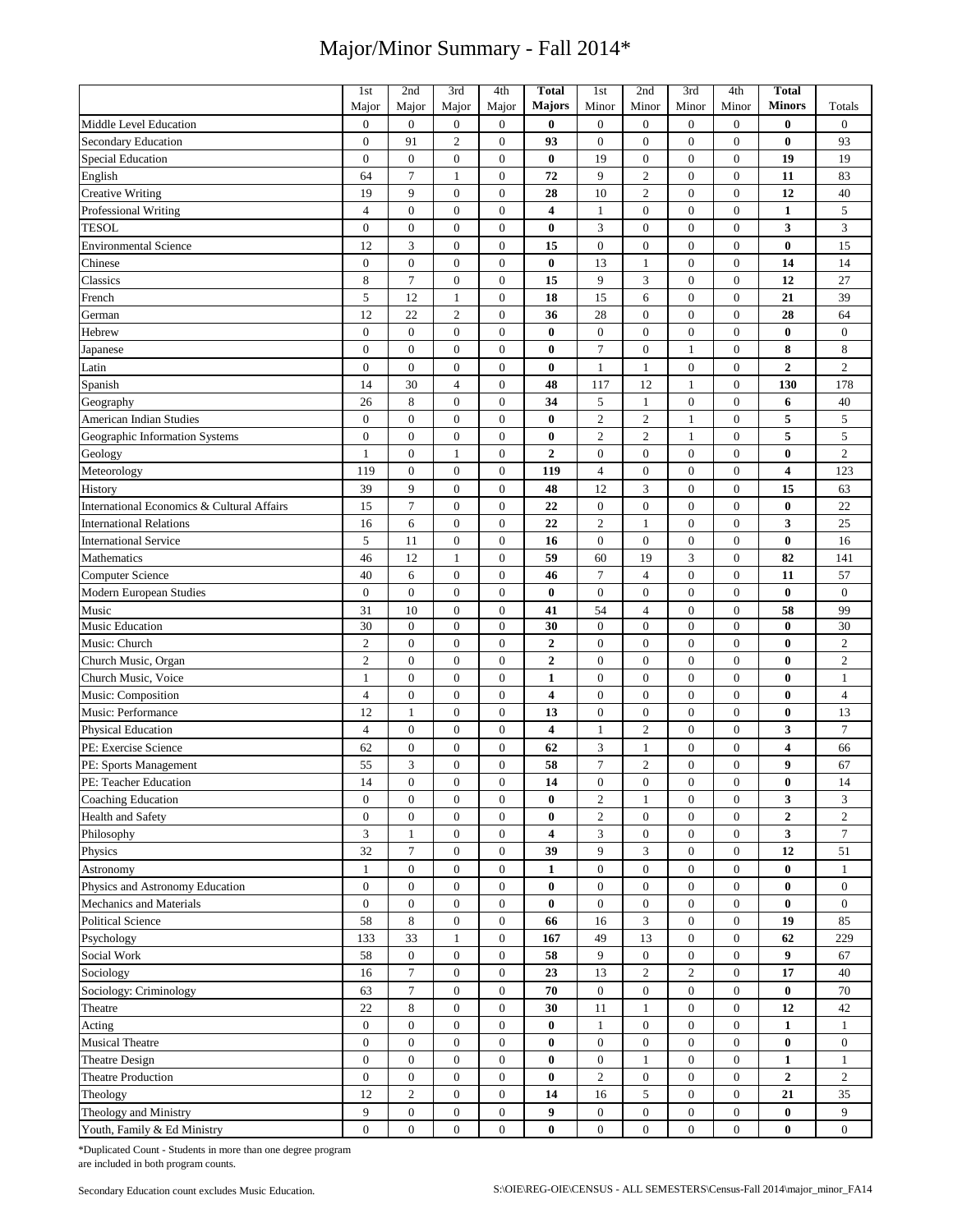|                                                    | 1st                         | 2nd                   | 3rd                                  | 4th                            | <b>Total</b>     | 1st              | 2nd              | 3rd                              | 4th                                  | Total            |                  |
|----------------------------------------------------|-----------------------------|-----------------------|--------------------------------------|--------------------------------|------------------|------------------|------------------|----------------------------------|--------------------------------------|------------------|------------------|
|                                                    | Major                       | Major                 | Major                                | Major                          | Majors           | Minor            | Minor            | Minor                            | Minor                                | <b>Minors</b>    | Totals           |
| Middle Level Education                             | $\boldsymbol{0}$            | $\boldsymbol{0}$      | $\boldsymbol{0}$                     | $\boldsymbol{0}$               | $\bf{0}$         | $\boldsymbol{0}$ | $\boldsymbol{0}$ | $\mathbf{0}$                     | $\boldsymbol{0}$                     | $\bf{0}$         | $\boldsymbol{0}$ |
| <b>Secondary Education</b>                         | $\boldsymbol{0}$            | 91                    | $\mathbf{2}$                         | $\boldsymbol{0}$               | 93               | $\boldsymbol{0}$ | $\boldsymbol{0}$ | $\boldsymbol{0}$                 | $\boldsymbol{0}$                     | $\bf{0}$         | 93               |
| <b>Special Education</b>                           | $\boldsymbol{0}$            | $\overline{0}$        | $\boldsymbol{0}$                     | $\boldsymbol{0}$               | $\bf{0}$         | 19               | $\mathbf{0}$     | $\mathbf{0}$                     | $\boldsymbol{0}$                     | 19               | 19               |
| English                                            | 64                          | $\overline{7}$        | $\mathbf{1}$                         | $\boldsymbol{0}$               | 72               | 9                | $\overline{2}$   | $\mathbf{0}$                     | $\boldsymbol{0}$                     | 11               | 83               |
| <b>Creative Writing</b>                            | 19                          | 9                     | $\mathbf{0}$                         | $\boldsymbol{0}$               | 28               | 10               | $\overline{2}$   | $\mathbf{0}$                     | $\boldsymbol{0}$                     | 12               | 40               |
| Professional Writing                               | $\overline{4}$              | $\boldsymbol{0}$      | $\boldsymbol{0}$                     | $\boldsymbol{0}$               | 4                | $\mathbf{1}$     | $\boldsymbol{0}$ | $\boldsymbol{0}$                 | $\boldsymbol{0}$                     | $\mathbf{1}$     | 5                |
| <b>TESOL</b>                                       | $\boldsymbol{0}$            | $\boldsymbol{0}$      | $\boldsymbol{0}$                     | $\boldsymbol{0}$               | $\bf{0}$         | 3                | $\boldsymbol{0}$ | $\boldsymbol{0}$                 | $\boldsymbol{0}$                     | 3                | 3                |
| <b>Environmental Science</b>                       | 12                          | 3                     | $\boldsymbol{0}$                     | $\boldsymbol{0}$               | 15               | $\boldsymbol{0}$ | $\boldsymbol{0}$ | $\mathbf{0}$                     | $\boldsymbol{0}$                     | $\bf{0}$         | 15               |
| Chinese                                            | $\boldsymbol{0}$            | $\boldsymbol{0}$      | $\boldsymbol{0}$                     | $\boldsymbol{0}$               | $\bf{0}$         | 13               | $\mathbf{1}$     | $\boldsymbol{0}$                 | $\boldsymbol{0}$                     | 14               | 14               |
| Classics                                           | $\,$ 8 $\,$                 | $\overline{7}$        | $\mathbf{0}$                         | $\boldsymbol{0}$               | 15               | 9                | 3                | $\mathbf{0}$                     | $\boldsymbol{0}$                     | 12               | 27               |
| French                                             | 5                           | 12                    | $\mathbf{1}$                         | $\boldsymbol{0}$               | 18               | 15               | 6                | $\boldsymbol{0}$                 | $\boldsymbol{0}$                     | 21               | 39               |
| German                                             | 12                          | $22\,$                | $\overline{2}$                       | $\boldsymbol{0}$               | 36               | 28               | $\overline{0}$   | $\overline{0}$                   | $\boldsymbol{0}$                     | 28               | 64               |
| Hebrew                                             | $\boldsymbol{0}$            | $\mathbf{0}$          | $\boldsymbol{0}$                     | $\boldsymbol{0}$               | $\bf{0}$         | $\boldsymbol{0}$ | $\boldsymbol{0}$ | $\boldsymbol{0}$                 | $\boldsymbol{0}$                     | $\bf{0}$         | $\boldsymbol{0}$ |
| Japanese                                           | $\boldsymbol{0}$            | $\boldsymbol{0}$      | $\boldsymbol{0}$                     | $\boldsymbol{0}$               | $\boldsymbol{0}$ | $\tau$           | $\boldsymbol{0}$ | 1                                | $\boldsymbol{0}$                     | 8                | 8                |
| Latin                                              | $\boldsymbol{0}$            | $\boldsymbol{0}$      | $\boldsymbol{0}$                     | $\boldsymbol{0}$               | $\bf{0}$         | $\mathbf{1}$     | $\mathbf{1}$     | $\boldsymbol{0}$                 | $\boldsymbol{0}$                     | $\mathbf{2}$     | $\overline{c}$   |
| Spanish                                            | 14                          | 30                    | $\overline{4}$                       | $\boldsymbol{0}$               | 48               | 117              | 12               | 1                                | $\boldsymbol{0}$                     | 130              | 178              |
| Geography                                          | 26                          | 8                     | $\mathbf{0}$                         | $\boldsymbol{0}$               | 34               | 5                | $\mathbf{1}$     | $\boldsymbol{0}$                 | $\boldsymbol{0}$                     | 6                | 40               |
| American Indian Studies                            | $\boldsymbol{0}$            | $\mathbf{0}$          | $\boldsymbol{0}$                     | $\boldsymbol{0}$               | $\bf{0}$         | $\overline{2}$   | $\overline{2}$   | $\mathbf{1}$                     | $\boldsymbol{0}$                     | 5                | $\mathfrak s$    |
| Geographic Information Systems                     | $\boldsymbol{0}$            | $\mathbf{0}$          | $\mathbf{0}$                         | $\boldsymbol{0}$               | $\bf{0}$         | $\overline{2}$   | $\overline{2}$   | $\mathbf{1}$                     | $\boldsymbol{0}$                     | 5                | 5                |
| Geology                                            | $\mathbf{1}$                | $\boldsymbol{0}$      | $\mathbf{1}$                         | $\boldsymbol{0}$               | $\mathbf{2}$     | $\boldsymbol{0}$ | $\mathbf{0}$     | $\boldsymbol{0}$                 | $\boldsymbol{0}$                     | $\bf{0}$         | $\overline{c}$   |
| Meteorology                                        | 119                         | $\boldsymbol{0}$      | $\boldsymbol{0}$                     | $\boldsymbol{0}$               | 119              | $\overline{4}$   | $\boldsymbol{0}$ | $\boldsymbol{0}$                 | $\boldsymbol{0}$                     | 4                | 123              |
| History                                            | 39                          | 9                     | $\boldsymbol{0}$                     | $\boldsymbol{0}$               | 48               | 12               | 3                | $\mathbf{0}$                     | $\boldsymbol{0}$                     | 15               | 63               |
| International Economics & Cultural Affairs         | 15                          | $\tau$                | $\mathbf{0}$                         | $\boldsymbol{0}$               | 22               | $\mathbf{0}$     | $\mathbf{0}$     | $\mathbf{0}$                     | $\boldsymbol{0}$                     | 0                | 22               |
| <b>International Relations</b>                     | 16                          | 6                     | $\boldsymbol{0}$                     | $\boldsymbol{0}$               | 22               | $\overline{2}$   | $\mathbf{1}$     | $\boldsymbol{0}$                 | $\boldsymbol{0}$                     | 3                | 25               |
| <b>International Service</b>                       | 5                           | 11                    | $\boldsymbol{0}$                     | $\boldsymbol{0}$               | 16               | $\mathbf{0}$     | $\boldsymbol{0}$ | $\boldsymbol{0}$                 | $\boldsymbol{0}$                     | $\bf{0}$         | 16               |
| Mathematics                                        | 46                          | 12                    | $\mathbf{1}$                         | $\boldsymbol{0}$               | 59               | 60               | 19               | 3                                | $\boldsymbol{0}$                     | 82               | 141              |
|                                                    | 40                          | 6                     | $\boldsymbol{0}$                     | $\boldsymbol{0}$               | 46               | $\tau$           | $\overline{4}$   | $\boldsymbol{0}$                 | $\boldsymbol{0}$                     |                  | 57               |
| <b>Computer Science</b><br>Modern European Studies | $\overline{0}$              | $\overline{0}$        | $\mathbf{0}$                         | $\boldsymbol{0}$               | $\bf{0}$         | $\boldsymbol{0}$ | $\overline{0}$   | $\overline{0}$                   | $\boldsymbol{0}$                     | 11<br>$\bf{0}$   | $\boldsymbol{0}$ |
| Music                                              | 31                          | 10                    | $\boldsymbol{0}$                     | $\boldsymbol{0}$               | 41               | 54               | $\overline{4}$   | $\mathbf{0}$                     | $\boldsymbol{0}$                     | 58               | 99               |
| Music Education                                    | 30                          | $\mathbf{0}$          | $\mathbf{0}$                         | $\boldsymbol{0}$               | 30               | $\mathbf{0}$     | $\mathbf{0}$     | $\mathbf{0}$                     | $\boldsymbol{0}$                     | $\bf{0}$         | 30               |
| Music: Church                                      | $\overline{c}$              | $\boldsymbol{0}$      | $\boldsymbol{0}$                     | $\boldsymbol{0}$               | $\overline{2}$   | $\boldsymbol{0}$ | $\boldsymbol{0}$ | $\mathbf{0}$                     | $\boldsymbol{0}$                     | $\bf{0}$         | $\overline{c}$   |
| Church Music, Organ                                | $\overline{c}$              | $\overline{0}$        | $\overline{0}$                       | $\boldsymbol{0}$               | $\boldsymbol{2}$ | $\mathbf{0}$     | $\overline{0}$   | $\mathbf{0}$                     | $\boldsymbol{0}$                     | $\bf{0}$         | $\mathbf{2}$     |
| Church Music, Voice                                | $\mathbf{1}$                | $\boldsymbol{0}$      | $\boldsymbol{0}$                     | $\boldsymbol{0}$               | $\mathbf{1}$     | $\boldsymbol{0}$ | $\boldsymbol{0}$ | $\mathbf{0}$                     | $\boldsymbol{0}$                     | 0                | $\mathbf{1}$     |
| Music: Composition                                 | $\overline{4}$              | $\boldsymbol{0}$      | $\boldsymbol{0}$                     | $\boldsymbol{0}$               | 4                | $\mathbf{0}$     | $\mathbf{0}$     | $\overline{0}$                   | $\boldsymbol{0}$                     | 0                | $\overline{4}$   |
| Music: Performance                                 | 12                          | $\mathbf{1}$          | $\boldsymbol{0}$                     | $\boldsymbol{0}$               | 13               | $\boldsymbol{0}$ | $\boldsymbol{0}$ | $\mathbf{0}$                     | $\boldsymbol{0}$                     | $\bf{0}$         | 13               |
| Physical Education                                 | $\overline{4}$              | $\boldsymbol{0}$      | $\mathbf{0}$                         | $\boldsymbol{0}$               | 4                | $\mathbf{1}$     | $\overline{2}$   | $\mathbf{0}$                     | $\boldsymbol{0}$                     | 3                | $\tau$           |
| PE: Exercise Science                               | 62                          | $\boldsymbol{0}$      | $\boldsymbol{0}$                     | $\boldsymbol{0}$               | 62               | 3                | $\mathbf{1}$     | $\boldsymbol{0}$                 | $\boldsymbol{0}$                     | 4                | 66               |
| PE: Sports Management                              | 55                          | 3                     | $\boldsymbol{0}$                     | $\boldsymbol{0}$               | 58               | $\overline{7}$   | $\sqrt{2}$       | $\boldsymbol{0}$                 | $\boldsymbol{0}$                     | 9                | 67               |
| PE: Teacher Education                              | 14                          | $\boldsymbol{0}$      | $\boldsymbol{0}$                     | $\boldsymbol{0}$               | 14               | $\boldsymbol{0}$ | $\boldsymbol{0}$ | $\boldsymbol{0}$                 | $\boldsymbol{0}$                     | 0                | 14               |
| <b>Coaching Education</b>                          | $\boldsymbol{0}$            | $\boldsymbol{0}$      | $\boldsymbol{0}$                     | $\mathbf{0}$                   | $\bf{0}$         | $\overline{2}$   | $\mathbf{1}$     | $\boldsymbol{0}$                 | $\boldsymbol{0}$                     | 3                | 3                |
| Health and Safety                                  | $\boldsymbol{0}$            | $\boldsymbol{0}$      | $\boldsymbol{0}$                     | $\boldsymbol{0}$               | 0                | $\overline{c}$   | $\mathbf{0}$     | $\boldsymbol{0}$                 | $\boldsymbol{0}$                     | $\mathbf{2}$     | $\overline{c}$   |
| Philosophy                                         | $\ensuremath{\mathfrak{Z}}$ | $\mathbf{1}$          | $\boldsymbol{0}$                     | $\mathbf{0}$                   | 4                | 3                | $\mathbf{0}$     | $\boldsymbol{0}$                 | $\boldsymbol{0}$                     | 3                | $\tau$           |
| Physics                                            | 32                          | $\tau$                | $\boldsymbol{0}$                     | $\boldsymbol{0}$               | 39               | 9                | 3                | $\boldsymbol{0}$                 | $\boldsymbol{0}$                     | 12               | 51               |
| Astronomy                                          | $\mathbf{1}$                | $\mathbf{0}$          | $\boldsymbol{0}$                     | $\mathbf{0}$                   | 1                | $\boldsymbol{0}$ | $\mathbf{0}$     | $\boldsymbol{0}$                 | $\boldsymbol{0}$                     | $\bf{0}$         | $\mathbf{1}$     |
| Physics and Astronomy Education                    | $\boldsymbol{0}$            | $\boldsymbol{0}$      | $\boldsymbol{0}$                     | $\mathbf{0}$                   | $\bf{0}$         | $\boldsymbol{0}$ | $\mathbf{0}$     | $\overline{0}$                   | $\boldsymbol{0}$                     | $\bf{0}$         | $\boldsymbol{0}$ |
| Mechanics and Materials                            | $\boldsymbol{0}$            | $\boldsymbol{0}$      | $\boldsymbol{0}$                     | $\boldsymbol{0}$               | $\bf{0}$         | $\boldsymbol{0}$ | $\boldsymbol{0}$ | $\boldsymbol{0}$                 | $\boldsymbol{0}$                     | $\bf{0}$         | $\boldsymbol{0}$ |
| <b>Political Science</b>                           | 58                          | $\,$ 8 $\,$           | $\boldsymbol{0}$                     | $\boldsymbol{0}$               | 66               | 16               | 3                | $\boldsymbol{0}$                 | $\boldsymbol{0}$                     | 19               | 85               |
| Psychology                                         | 133                         | 33                    | $\mathbf{1}$                         | $\mathbf{0}$                   | 167              | 49               | 13               | $\boldsymbol{0}$                 | $\boldsymbol{0}$                     | 62               | 229              |
|                                                    | 58                          | $\boldsymbol{0}$      | $\boldsymbol{0}$                     | $\mathbf{0}$                   | 58               | 9                | $\mathbf{0}$     | $\boldsymbol{0}$                 | $\mathbf{0}$                         | 9                |                  |
| Social Work<br>Sociology                           | 16                          | $\boldsymbol{7}$      | $\boldsymbol{0}$                     | $\boldsymbol{0}$               | 23               | 13               | $\sqrt{2}$       | $\overline{c}$                   | $\boldsymbol{0}$                     | 17               | 67<br>40         |
|                                                    |                             |                       |                                      |                                |                  | $\boldsymbol{0}$ | $\mathbf{0}$     |                                  |                                      |                  |                  |
| Sociology: Criminology<br>Theatre                  | 63<br>22                    | $\boldsymbol{7}$<br>8 | $\boldsymbol{0}$<br>$\boldsymbol{0}$ | $\mathbf{0}$<br>$\overline{0}$ | 70<br>30         | 11               | $\mathbf{1}$     | $\mathbf{0}$<br>$\boldsymbol{0}$ | $\boldsymbol{0}$<br>$\boldsymbol{0}$ | $\bf{0}$<br>12   | 70<br>42         |
|                                                    |                             |                       |                                      |                                |                  |                  |                  |                                  |                                      |                  |                  |
| Acting                                             | $\boldsymbol{0}$            | $\boldsymbol{0}$      | $\boldsymbol{0}$                     | $\mathbf{0}$                   | $\bf{0}$         | $\mathbf{1}$     | $\boldsymbol{0}$ | $\boldsymbol{0}$                 | $\boldsymbol{0}$                     | $\mathbf{1}$     | $\mathbf{1}$     |
| <b>Musical Theatre</b>                             | $\boldsymbol{0}$            | $\boldsymbol{0}$      | $\boldsymbol{0}$                     | $\mathbf{0}$                   | $\bf{0}$         | $\mathbf{0}$     | $\boldsymbol{0}$ | $\boldsymbol{0}$                 | $\boldsymbol{0}$                     | $\bf{0}$         | $\boldsymbol{0}$ |
| <b>Theatre Design</b>                              | $\boldsymbol{0}$            | $\boldsymbol{0}$      | $\boldsymbol{0}$                     | $\boldsymbol{0}$               | $\bf{0}$         | $\boldsymbol{0}$ | $\mathbf{1}$     | $\boldsymbol{0}$                 | $\boldsymbol{0}$                     | 1                | $\mathbf{1}$     |
| <b>Theatre Production</b>                          | $\boldsymbol{0}$            | $\boldsymbol{0}$      | $\boldsymbol{0}$                     | $\mathbf{0}$                   | $\bf{0}$         | $\sqrt{2}$       | $\mathbf{0}$     | $\overline{0}$                   | $\mathbf{0}$                         | $\boldsymbol{2}$ | $\overline{c}$   |
| Theology                                           | 12                          | $\overline{c}$        | $\boldsymbol{0}$                     | $\boldsymbol{0}$               | 14               | 16               | $\sqrt{5}$       | $\boldsymbol{0}$                 | $\boldsymbol{0}$                     | 21               | 35               |
| Theology and Ministry                              | 9                           | $\boldsymbol{0}$      | $\boldsymbol{0}$                     | $\boldsymbol{0}$               | 9                | $\boldsymbol{0}$ | $\boldsymbol{0}$ | $\boldsymbol{0}$                 | $\boldsymbol{0}$                     | $\bf{0}$         | 9                |
| Youth, Family & Ed Ministry                        | $\boldsymbol{0}$            | $\boldsymbol{0}$      | $\boldsymbol{0}$                     | $\overline{0}$                 | $\bf{0}$         | $\boldsymbol{0}$ | $\mathbf{0}$     | $\mathbf{0}$                     | $\mathbf{0}$                         | $\bf{0}$         | $\boldsymbol{0}$ |

\*Duplicated Count - Students in more than one degree program are included in both program counts.